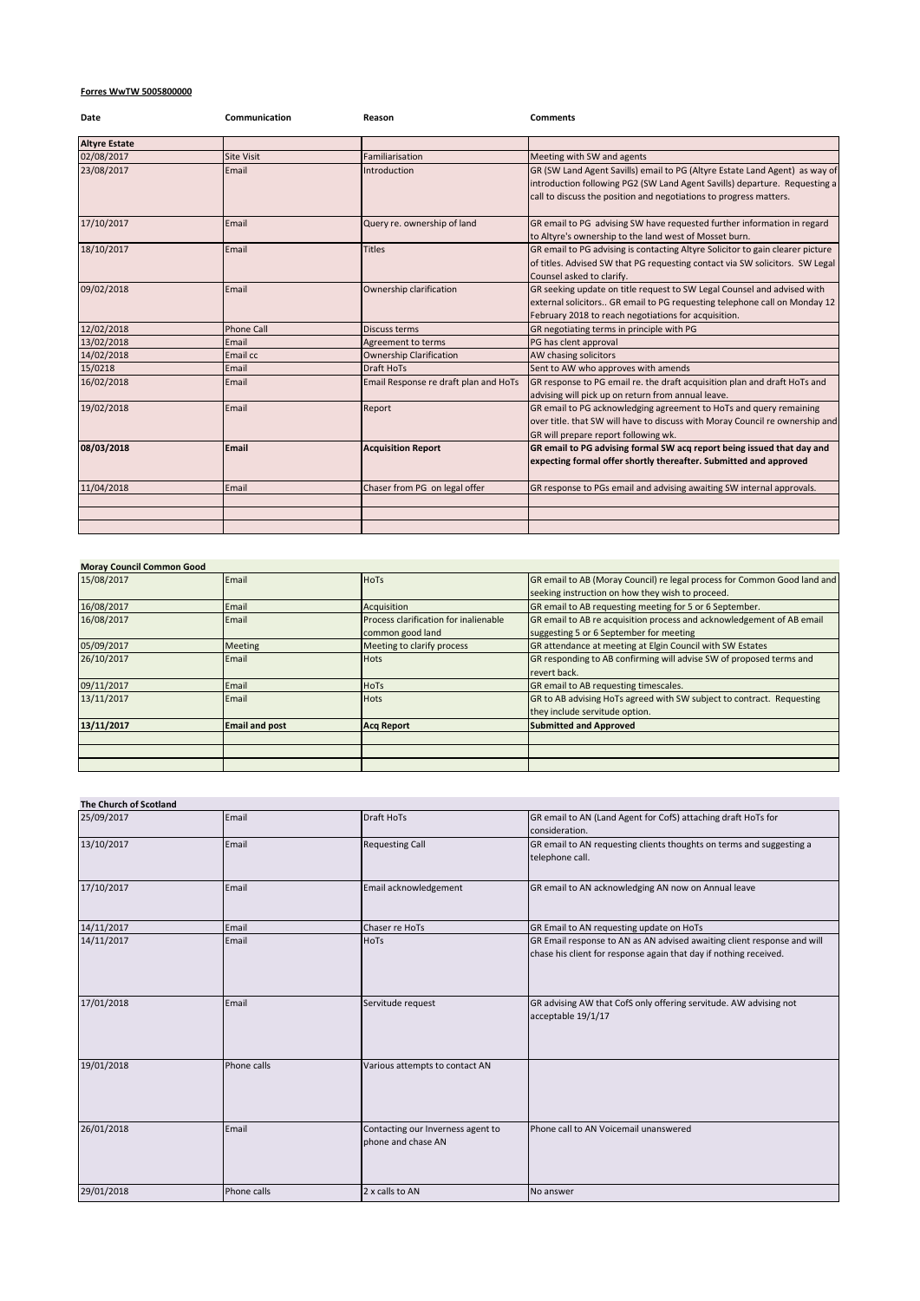## **Forres WwTW 5005800000**

| Date                 | Communication     | Reason                                | <b>Comments</b>                                                                                                                                                                                                                 |
|----------------------|-------------------|---------------------------------------|---------------------------------------------------------------------------------------------------------------------------------------------------------------------------------------------------------------------------------|
| <b>Altyre Estate</b> |                   |                                       |                                                                                                                                                                                                                                 |
| 02/08/2017           | <b>Site Visit</b> | Familiarisation                       | Meeting with SW and agents                                                                                                                                                                                                      |
| 23/08/2017           | Email             | Introduction                          | GR (SW Land Agent Savills) email to PG (Altyre Estate Land Agent) as way of<br>introduction following PG2 (SW Land Agent Savills) departure. Requesting a<br>call to discuss the position and negotiations to progress matters. |
| 17/10/2017           | Email             | Query re. ownership of land           | GR email to PG advising SW have requested further information in regard<br>to Altyre's ownership to the land west of Mosset burn.                                                                                               |
| 18/10/2017           | Email             | <b>Titles</b>                         | GR email to PG advising is contacting Altyre Solicitor to gain clearer picture<br>of titles. Advised SW that PG requesting contact via SW solicitors. SW Legal<br>Counsel asked to clarify.                                     |
| 09/02/2018           | Email             | Ownership clarification               | GR seeking update on title request to SW Legal Counsel and advised with<br>external solicitors GR email to PG requesting telephone call on Monday 12<br>February 2018 to reach negotiations for acquisition.                    |
| 12/02/2018           | <b>Phone Call</b> | Discuss terms                         | GR negotiating terms in principle with PG                                                                                                                                                                                       |
| 13/02/2018           | Email             | Agreement to terms                    | PG has clent approval                                                                                                                                                                                                           |
| 14/02/2018           | Email cc          | <b>Ownership Clarification</b>        | AW chasing solicitors                                                                                                                                                                                                           |
| 15/0218              | Email             | Draft HoTs                            | Sent to AW who approves with amends                                                                                                                                                                                             |
| 16/02/2018           | Email             | Email Response re draft plan and HoTs | GR response to PG email re. the draft acquisition plan and draft HoTs and<br>advising will pick up on return from annual leave.                                                                                                 |
| 19/02/2018           | Email             | Report                                | GR email to PG acknowledging agreement to HoTs and query remaining<br>over title. that SW will have to discuss with Moray Council re ownership and<br>GR will prepare report following wk.                                      |
| 08/03/2018           | Email             | <b>Acquisition Report</b>             | GR email to PG advising formal SW acq report being issued that day and<br>expecting formal offer shortly thereafter. Submitted and approved                                                                                     |
| 11/04/2018           | Email             | Chaser from PG on legal offer         | GR response to PGs email and advising awaiting SW internal approvals.                                                                                                                                                           |
|                      |                   |                                       |                                                                                                                                                                                                                                 |
|                      |                   |                                       |                                                                                                                                                                                                                                 |
|                      |                   |                                       |                                                                                                                                                                                                                                 |

| <b>Moray Council Common Good</b> |                       |                                       |                                                                          |
|----------------------------------|-----------------------|---------------------------------------|--------------------------------------------------------------------------|
| 15/08/2017                       | Email                 | <b>HoTs</b>                           | GR email to AB (Moray Council) re legal process for Common Good land and |
|                                  |                       |                                       | seeking instruction on how they wish to proceed.                         |
| 16/08/2017                       | Email                 | Acquisition                           | GR email to AB requesting meeting for 5 or 6 September.                  |
| 16/08/2017                       | Email                 | Process clarification for inalienable | GR email to AB re acquisition process and acknowledgement of AB email    |
|                                  |                       | common good land                      | suggesting 5 or 6 September for meeting                                  |
| 05/09/2017                       | <b>Meeting</b>        | Meeting to clarify process            | GR attendance at meeting at Elgin Council with SW Estates                |
| 26/10/2017                       | Email                 | <b>Hots</b>                           | GR responding to AB confirming will advise SW of proposed terms and      |
|                                  |                       |                                       | revert back.                                                             |
| 09/11/2017                       | Email                 | <b>HoTs</b>                           | GR email to AB requesting timescales.                                    |
| 13/11/2017                       | Email                 | <b>Hots</b>                           | GR to AB advising HoTs agreed with SW subject to contract. Requesting    |
|                                  |                       |                                       | they include servitude option.                                           |
| 13/11/2017                       | <b>Email and post</b> | <b>Acq Report</b>                     | <b>Submitted and Approved</b>                                            |
|                                  |                       |                                       |                                                                          |
|                                  |                       |                                       |                                                                          |
|                                  |                       |                                       |                                                                          |
|                                  |                       |                                       |                                                                          |

| <b>The Church of Scotland</b> |             |                                                         |                                                                                                                                              |
|-------------------------------|-------------|---------------------------------------------------------|----------------------------------------------------------------------------------------------------------------------------------------------|
| 25/09/2017                    | Email       | <b>Draft HoTs</b>                                       | GR email to AN (Land Agent for CofS) attaching draft HoTs for<br>consideration.                                                              |
| 13/10/2017                    | Email       | <b>Requesting Call</b>                                  | GR email to AN requesting clients thoughts on terms and suggesting a<br>telephone call.                                                      |
| 17/10/2017                    | Email       | Email acknowledgement                                   | GR email to AN acknowledging AN now on Annual leave                                                                                          |
| 14/11/2017                    | Email       | Chaser re HoTs                                          | GR Email to AN requesting update on HoTs                                                                                                     |
| 14/11/2017                    | Email       | HoTs                                                    | GR Email response to AN as AN advised awaiting client response and will<br>chase his client for response again that day if nothing received. |
| 17/01/2018                    | Email       | Servitude request                                       | GR advising AW that CofS only offering servitude. AW advising not<br>acceptable 19/1/17                                                      |
| 19/01/2018                    | Phone calls | Various attempts to contact AN                          |                                                                                                                                              |
| 26/01/2018                    | Email       | Contacting our Inverness agent to<br>phone and chase AN | Phone call to AN Voicemail unanswered                                                                                                        |
| 29/01/2018                    | Phone calls | 2 x calls to AN                                         | No answer                                                                                                                                    |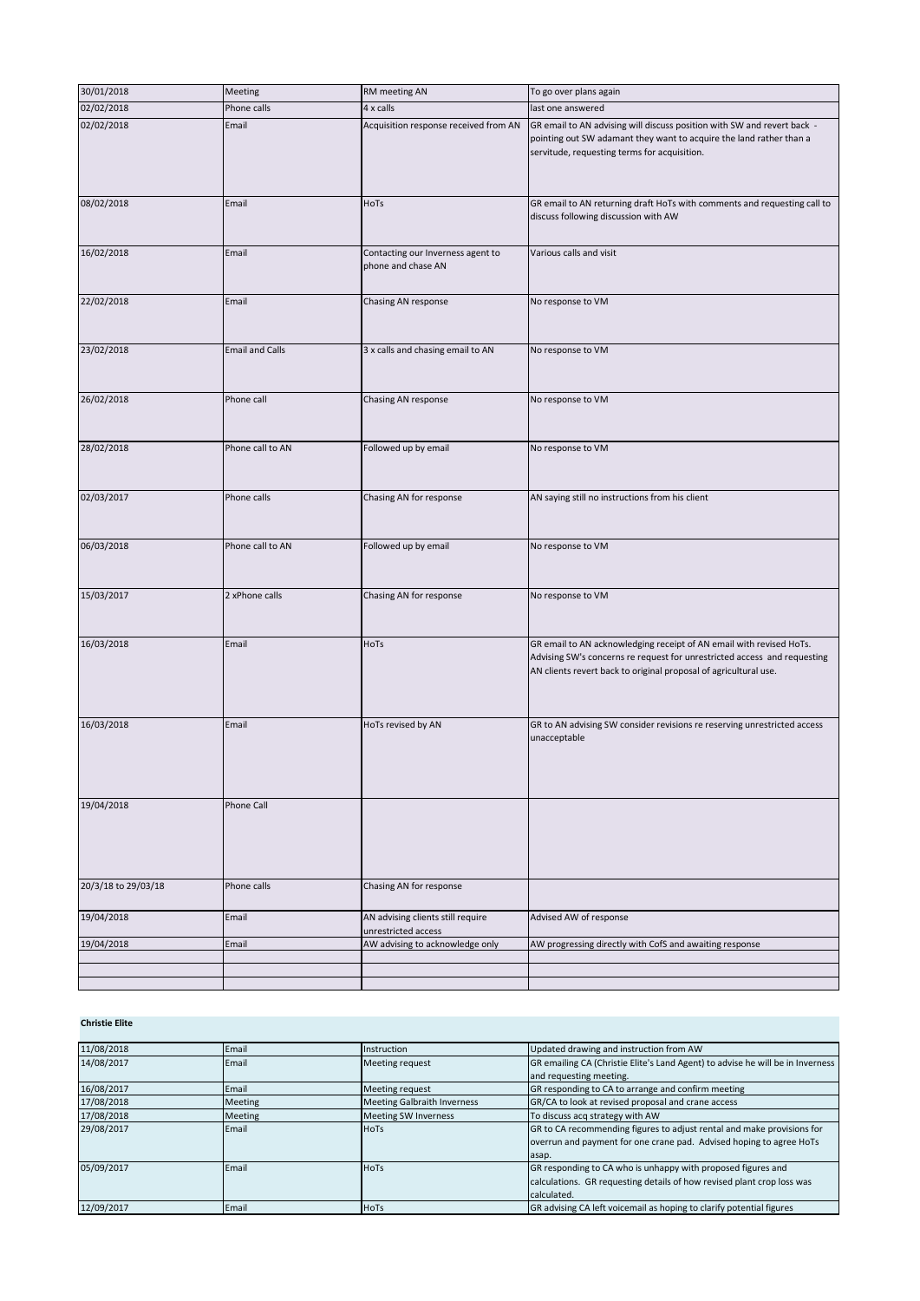| 30/01/2018          | Meeting                | RM meeting AN                                            | To go over plans again                                                                                                                                                                                              |
|---------------------|------------------------|----------------------------------------------------------|---------------------------------------------------------------------------------------------------------------------------------------------------------------------------------------------------------------------|
| 02/02/2018          | Phone calls            | 4 x calls                                                | last one answered                                                                                                                                                                                                   |
| 02/02/2018          | Email                  | Acquisition response received from AN                    | GR email to AN advising will discuss position with SW and revert back -<br>pointing out SW adamant they want to acquire the land rather than a<br>servitude, requesting terms for acquisition.                      |
| 08/02/2018          | Email                  | HoTs                                                     | GR email to AN returning draft HoTs with comments and requesting call to<br>discuss following discussion with AW                                                                                                    |
| 16/02/2018          | Email                  | Contacting our Inverness agent to<br>phone and chase AN  | Various calls and visit                                                                                                                                                                                             |
| 22/02/2018          | Email                  | Chasing AN response                                      | No response to VM                                                                                                                                                                                                   |
| 23/02/2018          | <b>Email and Calls</b> | 3 x calls and chasing email to AN                        | No response to VM                                                                                                                                                                                                   |
| 26/02/2018          | Phone call             | Chasing AN response                                      | No response to VM                                                                                                                                                                                                   |
| 28/02/2018          | Phone call to AN       | Followed up by email                                     | No response to VM                                                                                                                                                                                                   |
| 02/03/2017          | Phone calls            | Chasing AN for response                                  | AN saying still no instructions from his client                                                                                                                                                                     |
| 06/03/2018          | Phone call to AN       | Followed up by email                                     | No response to VM                                                                                                                                                                                                   |
| 15/03/2017          | 2 xPhone calls         | Chasing AN for response                                  | No response to VM                                                                                                                                                                                                   |
| 16/03/2018          | Email                  | HoTs                                                     | GR email to AN acknowledging receipt of AN email with revised HoTs.<br>Advising SW's concerns re request for unrestricted access and requesting<br>AN clients revert back to original proposal of agricultural use. |
| 16/03/2018          | Email                  | HoTs revised by AN                                       | GR to AN advising SW consider revisions re reserving unrestricted access<br>unacceptable                                                                                                                            |
| 19/04/2018          | Phone Call             |                                                          |                                                                                                                                                                                                                     |
| 20/3/18 to 29/03/18 | Phone calls            | Chasing AN for response                                  |                                                                                                                                                                                                                     |
| 19/04/2018          | Email                  | AN advising clients still require<br>unrestricted access | Advised AW of response                                                                                                                                                                                              |
| 19/04/2018          | Email                  | AW advising to acknowledge only                          | AW progressing directly with CofS and awaiting response                                                                                                                                                             |
|                     |                        |                                                          |                                                                                                                                                                                                                     |
|                     |                        |                                                          |                                                                                                                                                                                                                     |

## **Christie Elite**

| 11/08/2018 | Email          | Instruction                        | Updated drawing and instruction from AW                                        |
|------------|----------------|------------------------------------|--------------------------------------------------------------------------------|
| 14/08/2017 | Email          | Meeting request                    | GR emailing CA (Christie Elite's Land Agent) to advise he will be in Inverness |
|            |                |                                    | and requesting meeting.                                                        |
| 16/08/2017 | Email          | Meeting request                    | GR responding to CA to arrange and confirm meeting                             |
| 17/08/2018 | Meeting        | <b>Meeting Galbraith Inverness</b> | GR/CA to look at revised proposal and crane access                             |
| 17/08/2018 | <b>Meeting</b> | <b>Meeting SW Inverness</b>        | To discuss acq strategy with AW                                                |
| 29/08/2017 | Email          | <b>HoTs</b>                        | GR to CA recommending figures to adjust rental and make provisions for         |
|            |                |                                    | overrun and payment for one crane pad. Advised hoping to agree HoTs            |
|            |                |                                    | asap.                                                                          |
| 05/09/2017 | Email          | <b>HoTs</b>                        | GR responding to CA who is unhappy with proposed figures and                   |
|            |                |                                    | calculations. GR requesting details of how revised plant crop loss was         |
|            |                |                                    | calculated.                                                                    |
| 12/09/2017 | Email          | <b>HoTs</b>                        | GR advising CA left voicemail as hoping to clarify potential figures           |